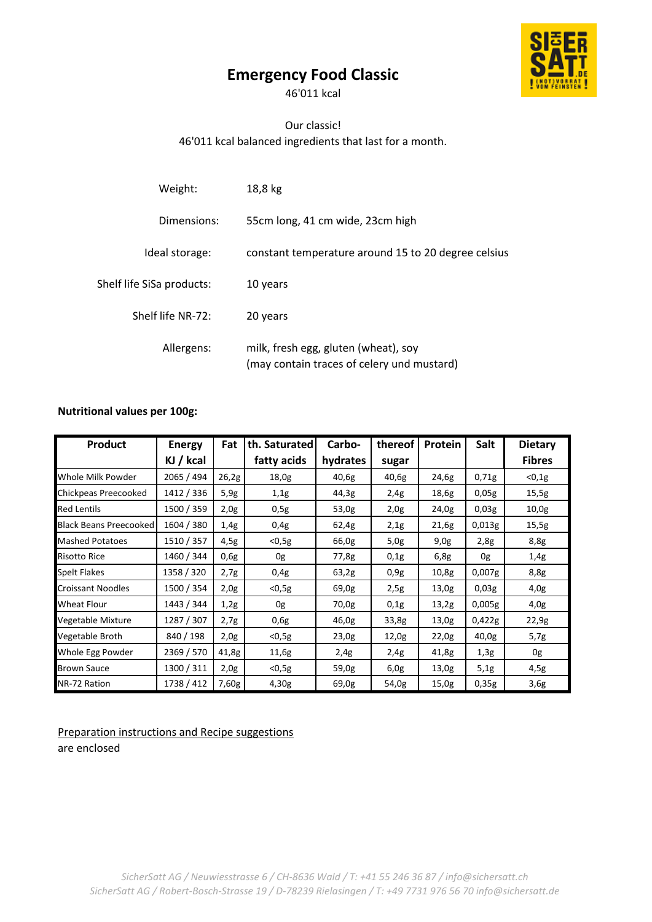# **Emergency Food Classic**

46'011 kcal

# Our classic! 46'011 kcal balanced ingredients that last for a month.

| Weight:                   | 18,8 kg                                                                            |
|---------------------------|------------------------------------------------------------------------------------|
| Dimensions:               | 55cm long, 41 cm wide, 23cm high                                                   |
| Ideal storage:            | constant temperature around 15 to 20 degree celsius                                |
| Shelf life SiSa products: | 10 years                                                                           |
| Shelf life NR-72:         | 20 years                                                                           |
| Allergens:                | milk, fresh egg, gluten (wheat), soy<br>(may contain traces of celery und mustard) |

## **Nutritional values per 100g:**

| Product                       | <b>Energy</b> | <b>Fat</b> | th. Saturated | Carbo-   | thereof | <b>Protein</b> | <b>Salt</b> | <b>Dietary</b> |
|-------------------------------|---------------|------------|---------------|----------|---------|----------------|-------------|----------------|
|                               | KJ / kcal     |            | fatty acids   | hydrates | sugar   |                |             | <b>Fibres</b>  |
| Whole Milk Powder             | 2065 / 494    | 26,2g      | 18,0g         | 40,6g    | 40,6g   | 24,6g          | 0,71g       | $0,1g$         |
| Chickpeas Preecooked          | 1412 / 336    | 5,9g       | 1,1g          | 44,3g    | 2,4g    | 18,6g          | 0,05g       | 15,5g          |
| <b>Red Lentils</b>            | 1500 / 359    | 2,0g       | 0,5g          | 53,0g    | 2,0g    | 24,0g          | 0,03g       | 10,0g          |
| <b>Black Beans Preecooked</b> | 1604 / 380    | 1,4g       | 0,4g          | 62,4g    | 2,1g    | 21,6g          | 0,013g      | 15,5g          |
| <b>Mashed Potatoes</b>        | 1510 / 357    | 4,5g       | $<$ 0,5g      | 66,0g    | 5,0g    | 9,0g           | 2,8g        | 8,8g           |
| <b>Risotto Rice</b>           | 1460 / 344    | 0,6g       | 0g            | 77,8g    | 0,1g    | 6,8g           | 0g          | 1,4g           |
| <b>Spelt Flakes</b>           | 1358 / 320    | 2,7g       | 0,4g          | 63,2g    | 0.9g    | 10,8g          | 0,007g      | 8,8g           |
| <b>Croissant Noodles</b>      | 1500 / 354    | 2,0g       | $<$ 0,5g      | 69,0g    | 2,5g    | 13,0g          | 0,03g       | 4,0g           |
| Wheat Flour                   | 1443 / 344    | 1,2g       | 0g            | 70,0g    | 0,1g    | 13,2g          | 0,005g      | 4,0g           |
| Vegetable Mixture             | 1287 / 307    | 2,7g       | 0,6g          | 46,0g    | 33,8g   | 13,0g          | 0,422g      | 22,9g          |
| Vegetable Broth               | 840 / 198     | 2,0g       | $<$ 0,5g      | 23,0g    | 12,0g   | 22,0g          | 40,0g       | 5,7g           |
| Whole Egg Powder              | 2369 / 570    | 41,8g      | 11,6g         | 2,4g     | 2,4g    | 41,8g          | 1,3g        | 0g             |
| <b>Brown Sauce</b>            | 1300 / 311    | 2,0g       | $<$ 0,5g      | 59,0g    | 6,0g    | 13,0g          | 5,1g        | 4,5g           |
| NR-72 Ration                  | 1738 / 412    | 7,60g      | 4,30g         | 69,0g    | 54,0g   | 15,0g          | 0,35g       | 3,6g           |

Preparation instructions and Recipe suggestions are enclosed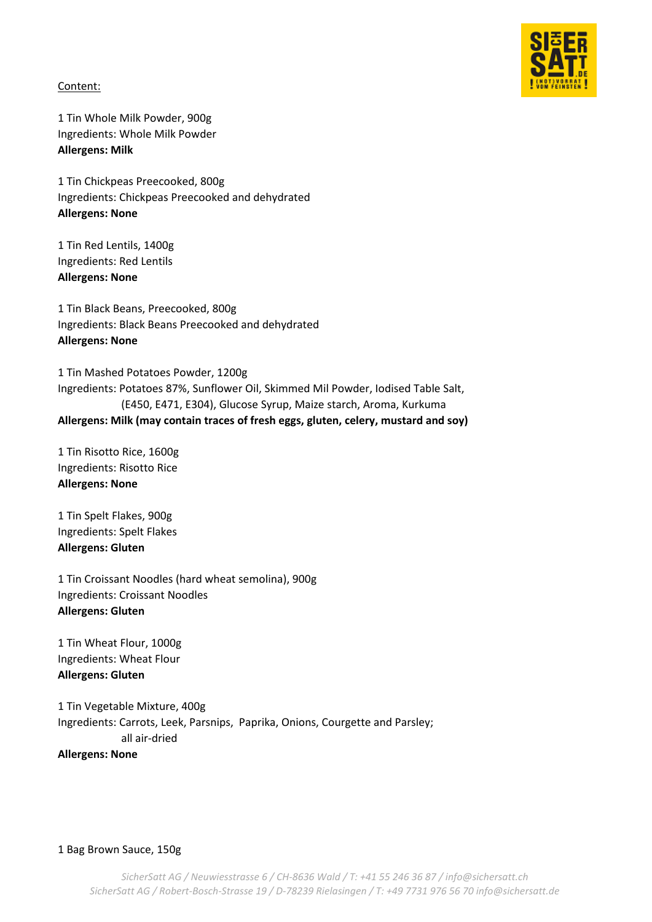

Content:

1 Tin Whole Milk Powder, 900g Ingredients: Whole Milk Powder **Allergens: Milk**

1 Tin Chickpeas Preecooked, 800g Ingredients: Chickpeas Preecooked and dehydrated **Allergens: None**

1 Tin Red Lentils, 1400g Ingredients: Red Lentils **Allergens: None**

1 Tin Black Beans, Preecooked, 800g Ingredients: Black Beans Preecooked and dehydrated **Allergens: None**

1 Tin Mashed Potatoes Powder, 1200g Ingredients: Potatoes 87%, Sunflower Oil, Skimmed Mil Powder, Iodised Table Salt, (E450, E471, E304), Glucose Syrup, Maize starch, Aroma, Kurkuma **Allergens: Milk (may contain traces of fresh eggs, gluten, celery, mustard and soy)** 

1 Tin Risotto Rice, 1600g Ingredients: Risotto Rice **Allergens: None**

1 Tin Spelt Flakes, 900g Ingredients: Spelt Flakes **Allergens: Gluten**

1 Tin Croissant Noodles (hard wheat semolina), 900g Ingredients: Croissant Noodles **Allergens: Gluten**

1 Tin Wheat Flour, 1000g Ingredients: Wheat Flour **Allergens: Gluten**

1 Tin Vegetable Mixture, 400g Ingredients: Carrots, Leek, Parsnips, Paprika, Onions, Courgette and Parsley; all air-dried **Allergens: None**

1 Bag Brown Sauce, 150g